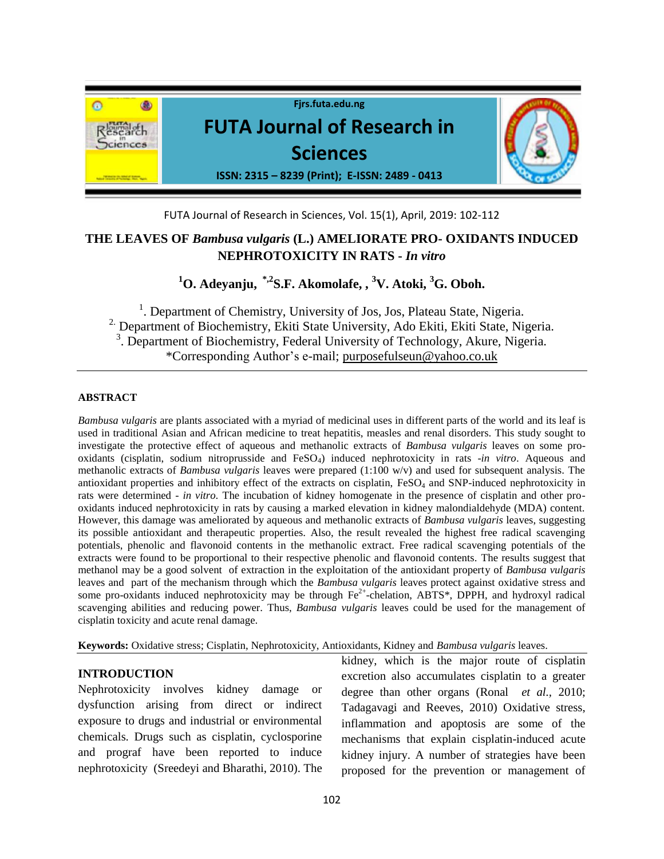

FUTA Journal of Research in Sciences, Vol. 15(1), April, 2019: 102-112

# **THE LEAVES OF** *Bambusa vulgaris* **(L.) AMELIORATE PRO- OXIDANTS INDUCED NEPHROTOXICITY IN RATS -** *In vitro*

**<sup>1</sup>O. Adeyanju, \*,2S.F. Akomolafe, , <sup>3</sup>V. Atoki, <sup>3</sup>G. Oboh.**

<sup>1</sup>. Department of Chemistry, University of Jos, Jos, Plateau State, Nigeria. <sup>2</sup> Department of Biochemistry, Ekiti State University, Ado Ekiti, Ekiti State, Nigeria. <sup>3</sup>. Department of Biochemistry, Federal University of Technology, Akure, Nigeria. \*Corresponding Author's e-mail; [purposefulseun@yahoo.co.uk](mailto:purposefulseun@yahoo.co.uk)

## **ABSTRACT**

*Bambusa vulgaris* are plants associated with a myriad of medicinal uses in different parts of the world and its leaf is used in traditional Asian and African medicine to treat hepatitis, measles and renal disorders. This study sought to investigate the protective effect of aqueous and methanolic extracts of *Bambusa vulgaris* leaves on some prooxidants (cisplatin, sodium nitroprusside and FeSO4) induced nephrotoxicity in rats -*in vitro*. Aqueous and methanolic extracts of *Bambusa vulgaris* leaves were prepared (1:100 w/v) and used for subsequent analysis. The antioxidant properties and inhibitory effect of the extracts on cisplatin,  $F \text{e}SO_4$  and SNP-induced nephrotoxicity in rats were determined - *in vitro.* The incubation of kidney homogenate in the presence of cisplatin and other prooxidants induced nephrotoxicity in rats by causing a marked elevation in kidney malondialdehyde (MDA) content. However, this damage was ameliorated by aqueous and methanolic extracts of *Bambusa vulgaris* leaves, suggesting its possible antioxidant and therapeutic properties. Also, the result revealed the highest free radical scavenging potentials, phenolic and flavonoid contents in the methanolic extract. Free radical scavenging potentials of the extracts were found to be proportional to their respective phenolic and flavonoid contents. The results suggest that methanol may be a good solvent of extraction in the exploitation of the antioxidant property of *Bambusa vulgaris* leaves and part of the mechanism through which the *Bambusa vulgaris* leaves protect against oxidative stress and some pro-oxidants induced nephrotoxicity may be through  $Fe^{2+}$ -chelation, ABTS\*, DPPH, and hydroxyl radical scavenging abilities and reducing power. Thus, *Bambusa vulgaris* leaves could be used for the management of cisplatin toxicity and acute renal damage.

**Keywords:** Oxidative stress; Cisplatin, Nephrotoxicity, Antioxidants, Kidney and *Bambusa vulgaris* leaves.

## **INTRODUCTION**

Nephrotoxicity involves kidney damage or dysfunction arising from direct or indirect exposure to drugs and industrial or environmental chemicals. Drugs such as cisplatin, cyclosporine and prograf have been reported to induce nephrotoxicity (Sreedeyi and Bharathi, 2010). The kidney, which is the major route of cisplatin excretion also accumulates cisplatin to a greater degree than other organs (Ronal *et al.,* 2010; Tadagavagi and Reeves, 2010) Oxidative stress, inflammation and apoptosis are some of the mechanisms that explain cisplatin-induced acute kidney injury. A number of strategies have been proposed for the prevention or management of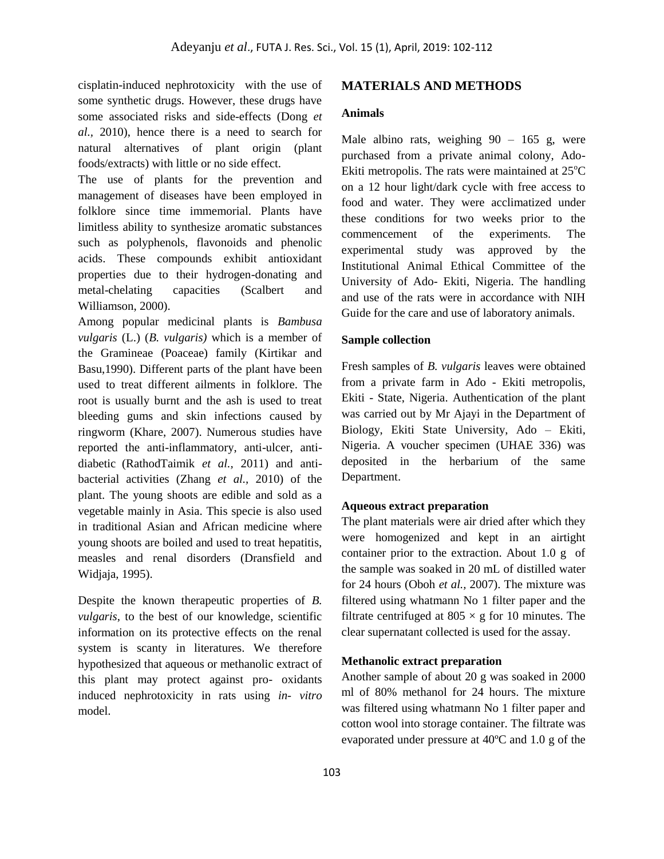cisplatin-induced nephrotoxicity with the use of some synthetic drugs. However, these drugs have some associated risks and side-effects (Dong *et al.,* 2010), hence there is a need to search for natural alternatives of plant origin (plant foods/extracts) with little or no side effect.

The use of plants for the prevention and management of diseases have been employed in folklore since time immemorial. Plants have limitless ability to synthesize aromatic substances such as polyphenols, flavonoids and phenolic acids. These compounds exhibit antioxidant properties due to their hydrogen-donating and metal-chelating capacities (Scalbert and Williamson, 2000).

Among popular medicinal plants is *Bambusa vulgaris* (L.) (*B. vulgaris)* which is a member of the Gramineae (Poaceae) family (Kirtikar and Basu,1990). Different parts of the plant have been used to treat different ailments in folklore. The root is usually burnt and the ash is used to treat bleeding gums and skin infections caused by ringworm (Khare, 2007). Numerous studies have reported the anti-inflammatory, anti-ulcer, antidiabetic (RathodTaimik *et al.,* 2011) and antibacterial activities (Zhang *et al.,* 2010) of the plant. The young shoots are edible and sold as a vegetable mainly in Asia. This specie is also used in traditional Asian and African medicine where young shoots are boiled and used to treat hepatitis, measles and renal disorders (Dransfield and Widjaja, 1995).

Despite the known therapeutic properties of *B. vulgaris*, to the best of our knowledge, scientific information on its protective effects on the renal system is scanty in literatures. We therefore hypothesized that aqueous or methanolic extract of this plant may protect against pro- oxidants induced nephrotoxicity in rats using *in- vitro* model.

#### **MATERIALS AND METHODS**

## **Animals**

Male albino rats, weighing  $90 - 165$  g, were purchased from a private animal colony, Ado-Ekiti metropolis. The rats were maintained at  $25^{\circ}$ C on a 12 hour light/dark cycle with free access to food and water. They were acclimatized under these conditions for two weeks prior to the commencement of the experiments. The experimental study was approved by the Institutional Animal Ethical Committee of the University of Ado- Ekiti, Nigeria. The handling and use of the rats were in accordance with NIH Guide for the care and use of laboratory animals.

#### **Sample collection**

Fresh samples of *B. vulgaris* leaves were obtained from a private farm in Ado - Ekiti metropolis, Ekiti - State, Nigeria. Authentication of the plant was carried out by Mr Ajayi in the Department of Biology, Ekiti State University, Ado – Ekiti, Nigeria. A voucher specimen (UHAE 336) was deposited in the herbarium of the same Department.

#### **Aqueous extract preparation**

The plant materials were air dried after which they were homogenized and kept in an airtight container prior to the extraction. About 1.0 g of the sample was soaked in 20 mL of distilled water for 24 hours (Oboh *et al.,* 2007). The mixture was filtered using whatmann No 1 filter paper and the filtrate centrifuged at  $805 \times g$  for 10 minutes. The clear supernatant collected is used for the assay.

#### **Methanolic extract preparation**

Another sample of about 20 g was soaked in 2000 ml of 80% methanol for 24 hours. The mixture was filtered using whatmann No 1 filter paper and cotton wool into storage container. The filtrate was evaporated under pressure at 40ºC and 1.0 g of the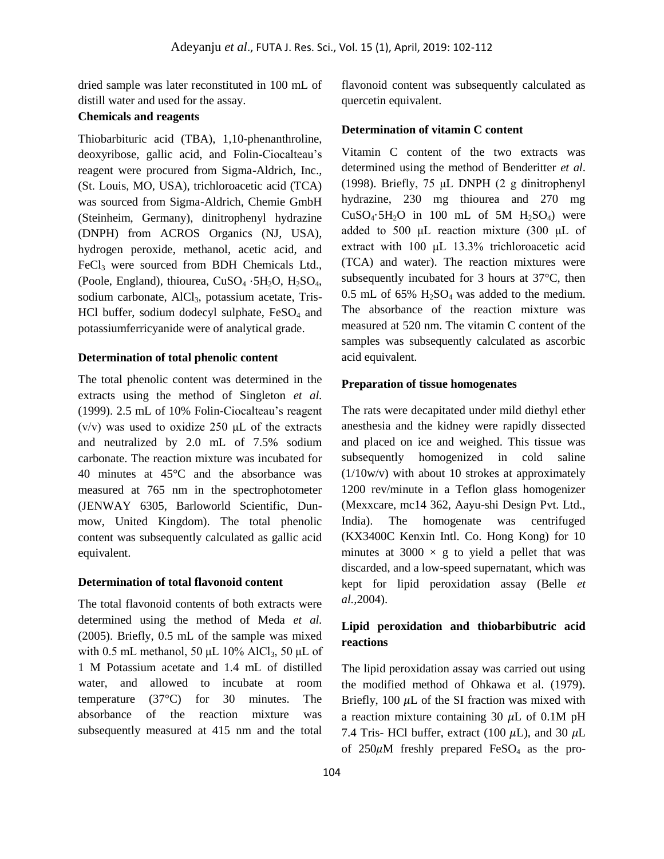dried sample was later reconstituted in 100 mL of distill water and used for the assay.

## **Chemicals and reagents**

Thiobarbituric acid (TBA), 1,10-phenanthroline, deoxyribose, gallic acid, and Folin-Ciocalteau's reagent were procured from Sigma-Aldrich, Inc., (St. Louis, MO, USA), trichloroacetic acid (TCA) was sourced from Sigma-Aldrich, Chemie GmbH (Steinheim, Germany), dinitrophenyl hydrazine (DNPH) from ACROS Organics (NJ, USA), hydrogen peroxide, methanol, acetic acid, and FeCl<sub>3</sub> were sourced from BDH Chemicals Ltd., (Poole, England), thiourea, CuSO<sup>4</sup> ⋅5H2O, H2SO4, sodium carbonate, AlCl<sub>3</sub>, potassium acetate, Tris-HCl buffer, sodium dodecyl sulphate,  $FeSO<sub>4</sub>$  and potassiumferricyanide were of analytical grade.

### **Determination of total phenolic content**

The total phenolic content was determined in the extracts using the method of Singleton *et al.*  (1999). 2.5 mL of 10% Folin-Ciocalteau's reagent ( $v/v$ ) was used to oxidize 250  $\mu$ L of the extracts and neutralized by 2.0 mL of 7.5% sodium carbonate. The reaction mixture was incubated for 40 minutes at 45°C and the absorbance was measured at 765 nm in the spectrophotometer (JENWAY 6305, Barloworld Scientific, Dunmow, United Kingdom). The total phenolic content was subsequently calculated as gallic acid equivalent.

#### **Determination of total flavonoid content**

The total flavonoid contents of both extracts were determined using the method of Meda *et al.*  (2005). Briefly, 0.5 mL of the sample was mixed with 0.5 mL methanol, 50  $\mu$ L 10% AlCl<sub>3</sub>, 50  $\mu$ L of 1 M Potassium acetate and 1.4 mL of distilled water, and allowed to incubate at room temperature (37°C) for 30 minutes. The absorbance of the reaction mixture was subsequently measured at 415 nm and the total

flavonoid content was subsequently calculated as quercetin equivalent.

#### **Determination of vitamin C content**

Vitamin C content of the two extracts was determined using the method of Benderitter *et al*. (1998). Briefly, 75 μL DNPH (2 g dinitrophenyl hydrazine, 230 mg thiourea and 270 mg  $CuSO<sub>4</sub>·5H<sub>2</sub>O$  in 100 mL of 5M  $H<sub>2</sub>SO<sub>4</sub>$ ) were added to 500 μL reaction mixture (300 μL of extract with 100 μL 13.3% trichloroacetic acid (TCA) and water). The reaction mixtures were subsequently incubated for 3 hours at 37°C, then 0.5 mL of 65%  $H_2SO_4$  was added to the medium. The absorbance of the reaction mixture was measured at 520 nm. The vitamin C content of the samples was subsequently calculated as ascorbic acid equivalent.

#### **Preparation of tissue homogenates**

The rats were decapitated under mild diethyl ether anesthesia and the kidney were rapidly dissected and placed on ice and weighed. This tissue was subsequently homogenized in cold saline (1/10w/v) with about 10 strokes at approximately 1200 rev/minute in a Teflon glass homogenizer (Mexxcare, mc14 362, Aayu-shi Design Pvt. Ltd., India). The homogenate was centrifuged (KX3400C Kenxin Intl. Co. Hong Kong) for 10 minutes at 3000  $\times$  g to yield a pellet that was discarded, and a low-speed supernatant, which was kept for lipid peroxidation assay (Belle *et al.,*2004).

## **Lipid peroxidation and thiobarbibutric acid reactions**

The lipid peroxidation assay was carried out using the modified method of Ohkawa et al. (1979). Briefly,  $100 \mu L$  of the SI fraction was mixed with a reaction mixture containing 30  $\mu$ L of 0.1M pH 7.4 Tris- HCl buffer, extract (100  $\mu$ L), and 30  $\mu$ L of  $250 \mu M$  freshly prepared FeSO<sub>4</sub> as the pro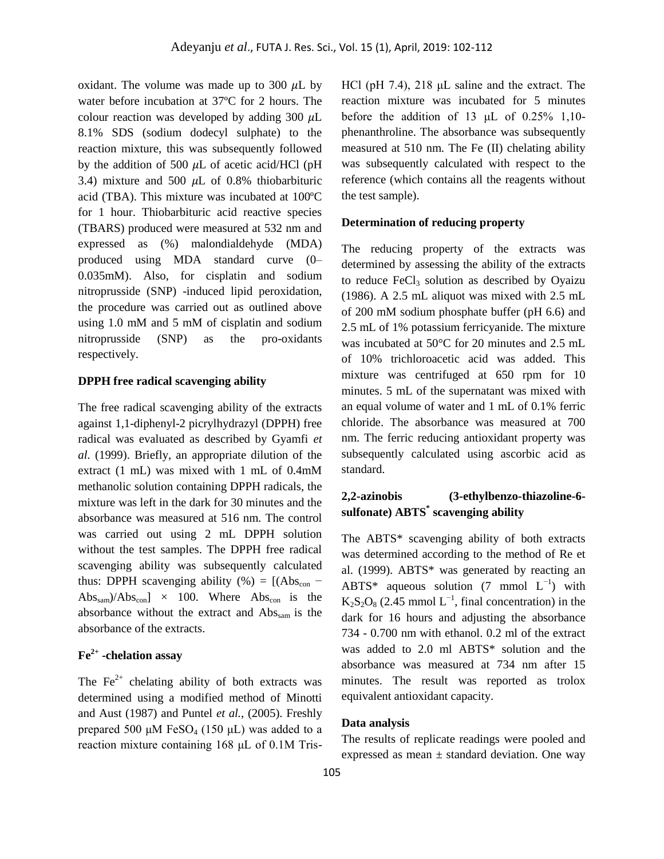oxidant. The volume was made up to 300  $\mu$ L by water before incubation at 37ºC for 2 hours. The colour reaction was developed by adding  $300 \mu L$ 8.1% SDS (sodium dodecyl sulphate) to the reaction mixture, this was subsequently followed by the addition of 500  $\mu$ L of acetic acid/HCl (pH 3.4) mixture and 500  $\mu$ L of 0.8% thiobarbituric acid (TBA). This mixture was incubated at 100ºC for 1 hour. Thiobarbituric acid reactive species (TBARS) produced were measured at 532 nm and expressed as (%) malondialdehyde (MDA) produced using MDA standard curve (0– 0.035mM). Also, for cisplatin and sodium nitroprusside (SNP) -induced lipid peroxidation, the procedure was carried out as outlined above using 1.0 mM and 5 mM of cisplatin and sodium nitroprusside (SNP) as the pro-oxidants respectively.

### **DPPH free radical scavenging ability**

The free radical scavenging ability of the extracts against 1,1-diphenyl-2 picrylhydrazyl (DPPH) free radical was evaluated as described by Gyamfi *et al.* (1999). Briefly, an appropriate dilution of the extract (1 mL) was mixed with 1 mL of 0.4mM methanolic solution containing DPPH radicals, the mixture was left in the dark for 30 minutes and the absorbance was measured at 516 nm. The control was carried out using 2 mL DPPH solution without the test samples. The DPPH free radical scavenging ability was subsequently calculated thus: DPPH scavenging ability (%) =  $[(Abs<sub>con</sub> Abs<sub>sam</sub>)/Abs<sub>con</sub>$  × 100. Where  $Abs<sub>con</sub>$  is the absorbance without the extract and  $\text{Abs}_{\text{sam}}$  is the absorbance of the extracts.

## **Fe2+ -chelation assay**

The  $Fe<sup>2+</sup>$  chelating ability of both extracts was determined using a modified method of Minotti and Aust (1987) and Puntel *et al.*, (2005). Freshly prepared 500 μM FeSO<sub>4</sub> (150 μL) was added to a reaction mixture containing 168 μL of 0.1M TrisHCl (pH 7.4), 218 μL saline and the extract. The reaction mixture was incubated for 5 minutes before the addition of 13  $\mu$ L of 0.25% 1,10phenanthroline. The absorbance was subsequently measured at 510 nm. The Fe (II) chelating ability was subsequently calculated with respect to the reference (which contains all the reagents without the test sample).

#### **Determination of reducing property**

The reducing property of the extracts was determined by assessing the ability of the extracts to reduce  $FeCl<sub>3</sub>$  solution as described by Oyaizu (1986). A 2.5 mL aliquot was mixed with 2.5 mL of 200 mM sodium phosphate buffer (pH 6.6) and 2.5 mL of 1% potassium ferricyanide. The mixture was incubated at 50°C for 20 minutes and 2.5 mL of 10% trichloroacetic acid was added. This mixture was centrifuged at 650 rpm for 10 minutes. 5 mL of the supernatant was mixed with an equal volume of water and 1 mL of 0.1% ferric chloride. The absorbance was measured at 700 nm. The ferric reducing antioxidant property was subsequently calculated using ascorbic acid as standard.

## **2,2-azinobis (3-ethylbenzo-thiazoline-6 sulfonate) ABTS\* scavenging ability**

The ABTS\* scavenging ability of both extracts was determined according to the method of Re et al. (1999). ABTS\* was generated by reacting an ABTS\* aqueous solution  $(7 \text{ mmol } L^{-1})$  with  $K_2S_2O_8$  (2.45 mmol  $L^{-1}$ , final concentration) in the dark for 16 hours and adjusting the absorbance 734 - 0.700 nm with ethanol. 0.2 ml of the extract was added to 2.0 ml ABTS\* solution and the absorbance was measured at 734 nm after 15 minutes. The result was reported as trolox equivalent antioxidant capacity.

### **Data analysis**

The results of replicate readings were pooled and expressed as mean  $\pm$  standard deviation. One way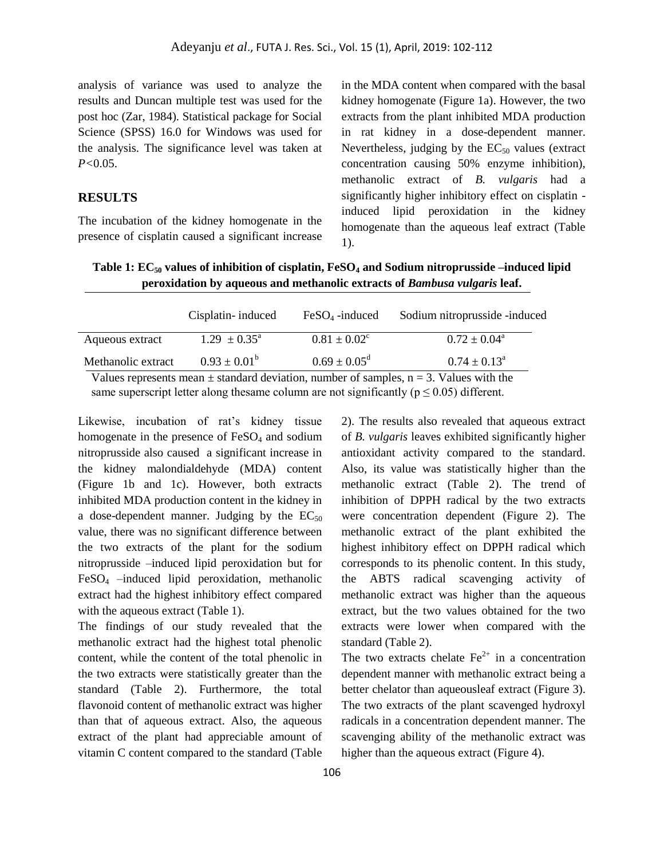analysis of variance was used to analyze the results and Duncan multiple test was used for the post hoc (Zar, 1984). Statistical package for Social Science (SPSS) 16.0 for Windows was used for the analysis. The significance level was taken at *P<*0.05.

## **RESULTS**

The incubation of the kidney homogenate in the presence of cisplatin caused a significant increase in the MDA content when compared with the basal kidney homogenate (Figure 1a). However, the two extracts from the plant inhibited MDA production in rat kidney in a dose-dependent manner. Nevertheless, judging by the  $EC_{50}$  values (extract) concentration causing 50% enzyme inhibition), methanolic extract of *B. vulgaris* had a significantly higher inhibitory effect on cisplatin induced lipid peroxidation in the kidney homogenate than the aqueous leaf extract (Table 1).

## **Table 1: EC<sup>50</sup> values of inhibition of cisplatin, FeSO<sup>4</sup> and Sodium nitroprusside –induced lipid peroxidation by aqueous and methanolic extracts of** *Bambusa vulgaris* **leaf.**

|                                                                                               | Cisplatin- induced         | $FeSO4$ -induced        | Sodium nitroprusside -induced |  |  |
|-----------------------------------------------------------------------------------------------|----------------------------|-------------------------|-------------------------------|--|--|
| Aqueous extract                                                                               | $1.29 \pm 0.35^{\text{a}}$ | $0.81 \pm 0.02^c$       | $0.72 \pm 0.04^{\circ}$       |  |  |
| Methanolic extract                                                                            | $0.93 \pm 0.01^{\rm b}$    | $0.69 \pm 0.05^{\rm d}$ | $0.74 \pm 0.13^{\circ}$       |  |  |
| Values represents mean $\pm$ standard deviation, number of samples, $n = 3$ . Values with the |                            |                         |                               |  |  |

same superscript letter along thesame column are not significantly ( $p \le 0.05$ ) different.

Likewise, incubation of rat's kidney tissue homogenate in the presence of  $FeSO<sub>4</sub>$  and sodium nitroprusside also caused a significant increase in the kidney malondialdehyde (MDA) content (Figure 1b and 1c). However, both extracts inhibited MDA production content in the kidney in a dose-dependent manner. Judging by the  $EC_{50}$ value, there was no significant difference between the two extracts of the plant for the sodium nitroprusside –induced lipid peroxidation but for FeSO<sup>4</sup> –induced lipid peroxidation, methanolic extract had the highest inhibitory effect compared with the aqueous extract (Table 1).

The findings of our study revealed that the methanolic extract had the highest total phenolic content, while the content of the total phenolic in the two extracts were statistically greater than the standard (Table 2). Furthermore, the total flavonoid content of methanolic extract was higher than that of aqueous extract. Also, the aqueous extract of the plant had appreciable amount of vitamin C content compared to the standard (Table

2). The results also revealed that aqueous extract of *B. vulgaris* leaves exhibited significantly higher antioxidant activity compared to the standard. Also, its value was statistically higher than the methanolic extract (Table 2). The trend of inhibition of DPPH radical by the two extracts were concentration dependent (Figure 2). The methanolic extract of the plant exhibited the highest inhibitory effect on DPPH radical which corresponds to its phenolic content. In this study, the ABTS radical scavenging activity of methanolic extract was higher than the aqueous extract, but the two values obtained for the two extracts were lower when compared with the standard (Table 2).

The two extracts chelate  $Fe<sup>2+</sup>$  in a concentration dependent manner with methanolic extract being a better chelator than aqueousleaf extract (Figure 3). The two extracts of the plant scavenged hydroxyl radicals in a concentration dependent manner. The scavenging ability of the methanolic extract was higher than the aqueous extract (Figure 4).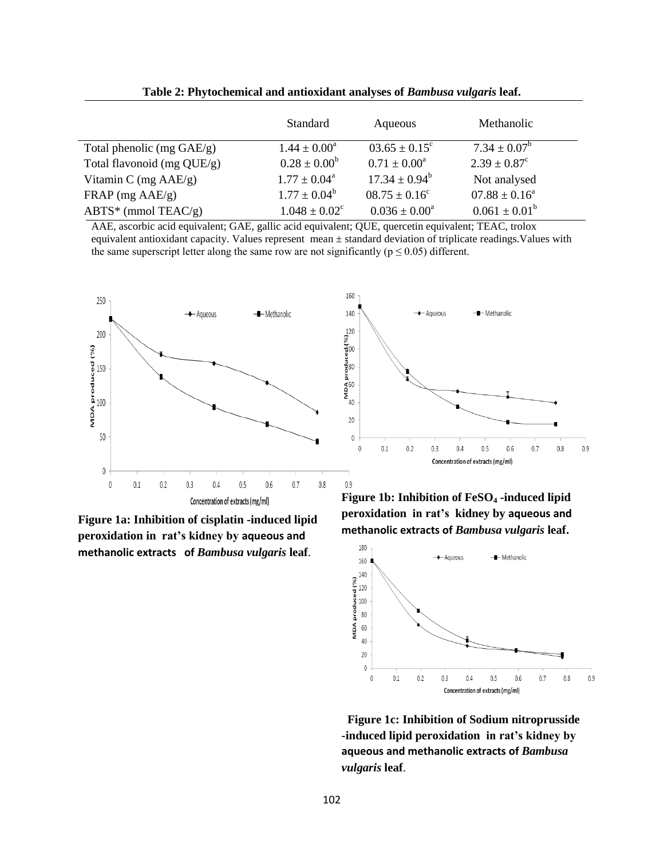|                              | Standard                      | Aqueous                  | Methanolic              |
|------------------------------|-------------------------------|--------------------------|-------------------------|
| Total phenolic (mg $GAE/g$ ) | $1.44 \pm 0.00^a$             | $03.65 \pm 0.15^{\circ}$ | $7.34 \pm 0.07^b$       |
| Total flavonoid (mg QUE/g)   | $0.28 \pm 0.00^b$             | $0.71 \pm 0.00^{\circ}$  | $2.39 \pm 0.87^{\circ}$ |
| Vitamin C (mg $AAE/g$ )      | $1.77 \pm 0.04^{\circ}$       | $17.34 \pm 0.94^b$       | Not analysed            |
| $FRAP$ (mg $AAE/g$ )         | $1.77 \pm 0.04^b$             | $08.75 \pm 0.16^{\circ}$ | $07.88 \pm 0.16^a$      |
| $ABTS^*$ (mmol TEAC/g)       | $1.048 \pm 0.02$ <sup>c</sup> | $0.036 \pm 0.00^a$       | $0.061 \pm 0.01^b$      |

**Table 2: Phytochemical and antioxidant analyses of** *Bambusa vulgaris* **leaf.**

AAE, ascorbic acid equivalent; GAE, gallic acid equivalent; QUE, quercetin equivalent; TEAC, trolox equivalent antioxidant capacity. Values represent mean ± standard deviation of triplicate readings.Values with the same superscript letter along the same row are not significantly ( $p \le 0.05$ ) different.



**Figure 1a: Inhibition of cisplatin -induced lipid peroxidation in rat's kidney by aqueous and methanolic extracts of** *Bambusa vulgaris* **leaf**.





**Figure 1b: Inhibition of FeSO<sup>4</sup> -induced lipid peroxidation in rat's kidney by aqueous and methanolic extracts of** *Bambusa vulgaris* **leaf.**



 **Figure 1c: Inhibition of Sodium nitroprusside -induced lipid peroxidation in rat's kidney by aqueous and methanolic extracts of** *Bambusa vulgaris* **leaf**.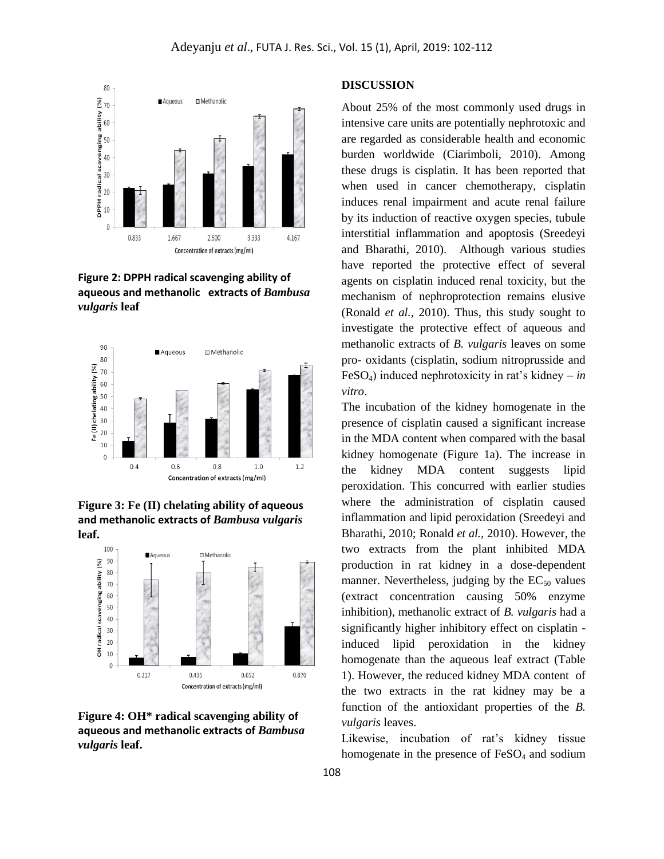

**Figure 2: DPPH radical scavenging ability of aqueous and methanolic extracts of** *Bambusa vulgaris* **leaf**



**Figure 3: Fe (II) chelating ability of aqueous and methanolic extracts of** *Bambusa vulgaris* **leaf.**



**Figure 4: OH\* radical scavenging ability of aqueous and methanolic extracts of** *Bambusa vulgaris* **leaf.**

### **DISCUSSION**

About 25% of the most commonly used drugs in intensive care units are potentially nephrotoxic and are regarded as considerable health and economic burden worldwide (Ciarimboli, 2010). Among these drugs is cisplatin. It has been reported that when used in cancer chemotherapy, cisplatin induces renal impairment and acute renal failure by its induction of reactive oxygen species, tubule interstitial inflammation and apoptosis (Sreedeyi and Bharathi, 2010). Although various studies have reported the protective effect of several agents on cisplatin induced renal toxicity, but the mechanism of nephroprotection remains elusive (Ronald *et al.,* 2010). Thus, this study sought to investigate the protective effect of aqueous and methanolic extracts of *B. vulgaris* leaves on some pro- oxidants (cisplatin, sodium nitroprusside and FeSO<sub>4</sub>) induced nephrotoxicity in rat's kidney – *in vitro*.

The incubation of the kidney homogenate in the presence of cisplatin caused a significant increase in the MDA content when compared with the basal kidney homogenate (Figure 1a). The increase in the kidney MDA content suggests lipid peroxidation. This concurred with earlier studies where the administration of cisplatin caused inflammation and lipid peroxidation (Sreedeyi and Bharathi, 2010; Ronald *et al.,* 2010). However, the two extracts from the plant inhibited MDA production in rat kidney in a dose-dependent manner. Nevertheless, judging by the  $EC_{50}$  values (extract concentration causing 50% enzyme inhibition), methanolic extract of *B. vulgaris* had a significantly higher inhibitory effect on cisplatin induced lipid peroxidation in the kidney homogenate than the aqueous leaf extract (Table 1). However, the reduced kidney MDA content of the two extracts in the rat kidney may be a function of the antioxidant properties of the *B. vulgaris* leaves.

Likewise, incubation of rat's kidney tissue homogenate in the presence of  $FeSO<sub>4</sub>$  and sodium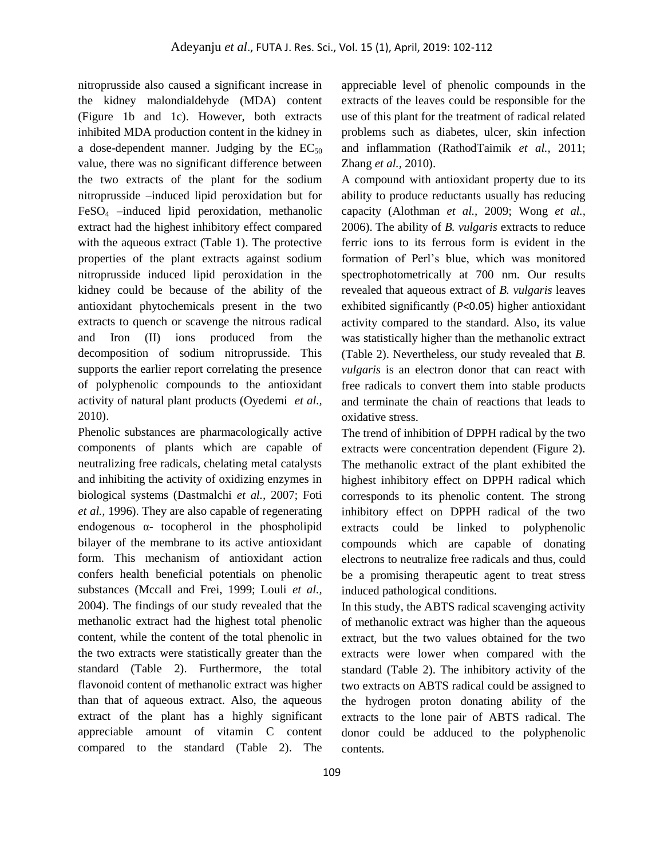nitroprusside also caused a significant increase in the kidney malondialdehyde (MDA) content (Figure 1b and 1c). However, both extracts inhibited MDA production content in the kidney in a dose-dependent manner. Judging by the  $EC_{50}$ value, there was no significant difference between the two extracts of the plant for the sodium nitroprusside –induced lipid peroxidation but for  $FeSO<sub>4</sub>$  –induced lipid peroxidation, methanolic extract had the highest inhibitory effect compared with the aqueous extract (Table 1). The protective properties of the plant extracts against sodium nitroprusside induced lipid peroxidation in the kidney could be because of the ability of the antioxidant phytochemicals present in the two extracts to quench or scavenge the nitrous radical and Iron (II) ions produced from the decomposition of sodium nitroprusside. This supports the earlier report correlating the presence of polyphenolic compounds to the antioxidant activity of natural plant products (Oyedemi *et al.,*  2010).

Phenolic substances are pharmacologically active components of plants which are capable of neutralizing free radicals, chelating metal catalysts and inhibiting the activity of oxidizing enzymes in biological systems (Dastmalchi *et al.,* 2007; Foti *et al.,* 1996). They are also capable of regenerating endogenous α- tocopherol in the phospholipid bilayer of the membrane to its active antioxidant form. This mechanism of antioxidant action confers health beneficial potentials on phenolic substances (Mccall and Frei, 1999; Louli *et al.,*  2004). The findings of our study revealed that the methanolic extract had the highest total phenolic content, while the content of the total phenolic in the two extracts were statistically greater than the standard (Table 2). Furthermore, the total flavonoid content of methanolic extract was higher than that of aqueous extract. Also, the aqueous extract of the plant has a highly significant appreciable amount of vitamin C content compared to the standard (Table 2). The

appreciable level of phenolic compounds in the extracts of the leaves could be responsible for the use of this plant for the treatment of radical related problems such as diabetes, ulcer, skin infection and inflammation (RathodTaimik *et al.,* 2011; Zhang *et al.,* 2010).

A compound with antioxidant property due to its ability to produce reductants usually has reducing capacity (Alothman *et al.,* 2009; Wong *et al.,*  2006). The ability of *B. vulgaris* extracts to reduce ferric ions to its ferrous form is evident in the formation of Perl's blue, which was monitored spectrophotometrically at 700 nm. Our results revealed that aqueous extract of *B. vulgaris* leaves exhibited significantly (P<0.05) higher antioxidant activity compared to the standard. Also, its value was statistically higher than the methanolic extract (Table 2). Nevertheless, our study revealed that *B. vulgaris* is an electron donor that can react with free radicals to convert them into stable products and terminate the chain of reactions that leads to oxidative stress.

The trend of inhibition of DPPH radical by the two extracts were concentration dependent (Figure 2). The methanolic extract of the plant exhibited the highest inhibitory effect on DPPH radical which corresponds to its phenolic content. The strong inhibitory effect on DPPH radical of the two extracts could be linked to polyphenolic compounds which are capable of donating electrons to neutralize free radicals and thus, could be a promising therapeutic agent to treat stress induced pathological conditions.

In this study, the ABTS radical scavenging activity of methanolic extract was higher than the aqueous extract, but the two values obtained for the two extracts were lower when compared with the standard (Table 2). The inhibitory activity of the two extracts on ABTS radical could be assigned to the hydrogen proton donating ability of the extracts to the lone pair of ABTS radical. The donor could be adduced to the polyphenolic contents.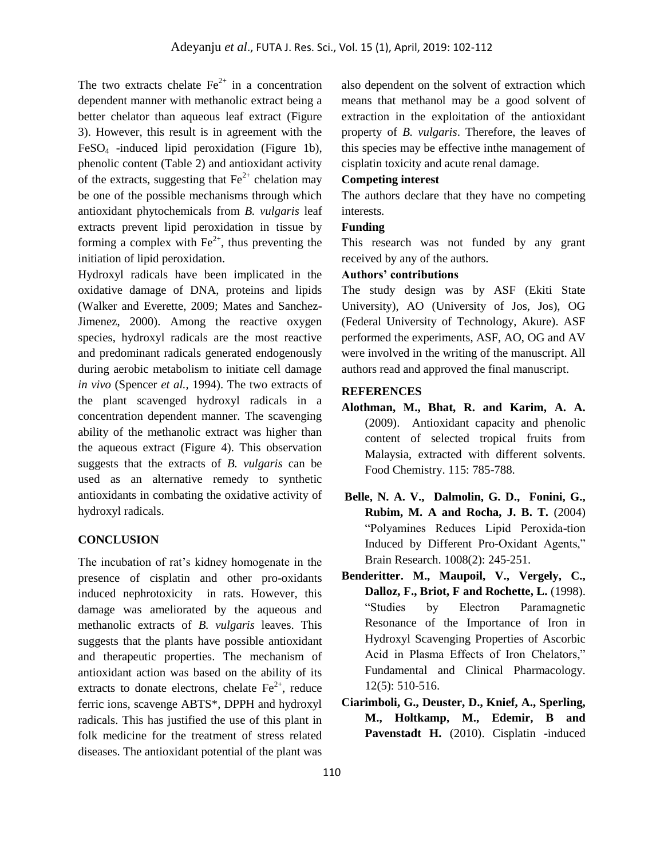The two extracts chelate  $Fe<sup>2+</sup>$  in a concentration dependent manner with methanolic extract being a better chelator than aqueous leaf extract (Figure 3). However, this result is in agreement with the FeSO<sup>4</sup> -induced lipid peroxidation (Figure 1b), phenolic content (Table 2) and antioxidant activity of the extracts, suggesting that  $Fe^{2+}$  chelation may be one of the possible mechanisms through which antioxidant phytochemicals from *B. vulgaris* leaf extracts prevent lipid peroxidation in tissue by forming a complex with  $Fe^{2+}$ , thus preventing the initiation of lipid peroxidation.

Hydroxyl radicals have been implicated in the oxidative damage of DNA, proteins and lipids (Walker and Everette, 2009; Mates and Sanchez-Jimenez, 2000). Among the reactive oxygen species, hydroxyl radicals are the most reactive and predominant radicals generated endogenously during aerobic metabolism to initiate cell damage *in vivo* (Spencer *et al.,* 1994). The two extracts of the plant scavenged hydroxyl radicals in a concentration dependent manner. The scavenging ability of the methanolic extract was higher than the aqueous extract (Figure 4). This observation suggests that the extracts of *B. vulgaris* can be used as an alternative remedy to synthetic antioxidants in combating the oxidative activity of hydroxyl radicals.

#### **CONCLUSION**

The incubation of rat's kidney homogenate in the presence of cisplatin and other pro-oxidants induced nephrotoxicity in rats. However, this damage was ameliorated by the aqueous and methanolic extracts of *B. vulgaris* leaves. This suggests that the plants have possible antioxidant and therapeutic properties. The mechanism of antioxidant action was based on the ability of its extracts to donate electrons, chelate  $Fe<sup>2+</sup>$ , reduce ferric ions, scavenge ABTS\*, DPPH and hydroxyl radicals. This has justified the use of this plant in folk medicine for the treatment of stress related diseases. The antioxidant potential of the plant was

also dependent on the solvent of extraction which means that methanol may be a good solvent of extraction in the exploitation of the antioxidant property of *B. vulgaris*. Therefore, the leaves of this species may be effective inthe management of cisplatin toxicity and acute renal damage.

### **Competing interest**

The authors declare that they have no competing interests.

#### **Funding**

This research was not funded by any grant received by any of the authors.

## **Authors' contributions**

The study design was by ASF (Ekiti State University), AO (University of Jos, Jos), OG (Federal University of Technology, Akure). ASF performed the experiments, ASF, AO, OG and AV were involved in the writing of the manuscript. All authors read and approved the final manuscript.

#### **REFERENCES**

- **Alothman, M., Bhat, R. and Karim, A. A.**  (2009). Antioxidant capacity and phenolic content of selected tropical fruits from Malaysia, extracted with different solvents. Food Chemistry. 115: 785-788.
- **Belle, N. A. V., Dalmolin, G. D., Fonini, G., Rubim, M. A and Rocha, J. B. T.** (2004) "Polyamines Reduces Lipid Peroxida-tion Induced by Different Pro-Oxidant Agents," Brain Research. 1008(2): 245-251.
- **Benderitter. M., Maupoil, V., Vergely, C., Dalloz, F., Briot, F and Rochette, L.** (1998). "Studies by Electron Paramagnetic Resonance of the Importance of Iron in Hydroxyl Scavenging Properties of Ascorbic Acid in Plasma Effects of Iron Chelators," Fundamental and Clinical Pharmacology. 12(5): 510-516.
- **Ciarimboli, G., Deuster, D., Knief, A., Sperling, M., Holtkamp, M., Edemir, B and**  Pavenstadt H. (2010). Cisplatin -induced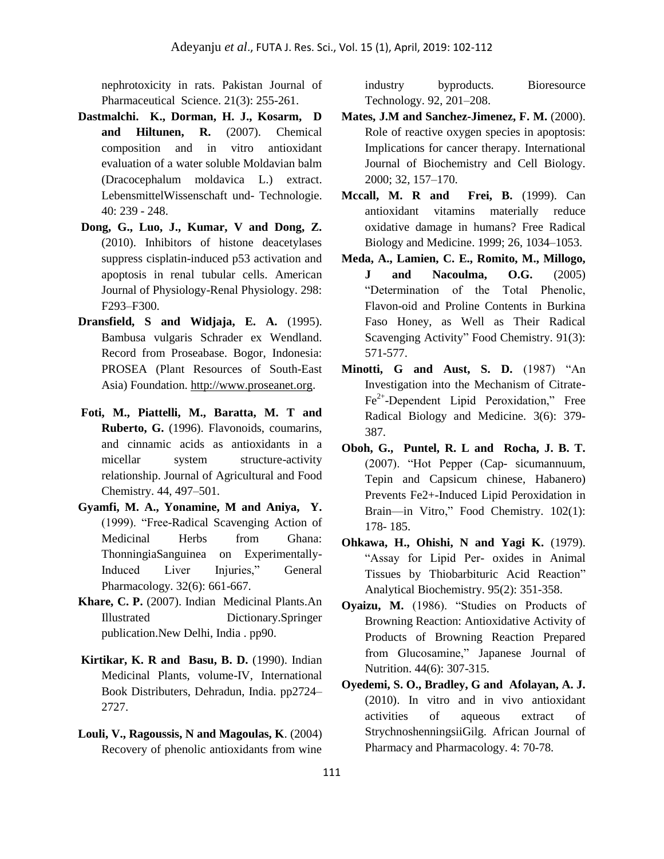nephrotoxicity in rats. Pakistan Journal of Pharmaceutical Science. 21(3): 255-261.

- **Dastmalchi. K., Dorman, H. J., Kosarm, D and Hiltunen, R.** (2007). Chemical composition and in vitro antioxidant evaluation of a water soluble Moldavian balm (Dracocephalum moldavica L.) extract. LebensmittelWissenschaft und- Technologie. 40: 239 - 248.
- **Dong, G., Luo, J., Kumar, V and Dong, Z.** (2010). Inhibitors of histone deacetylases suppress cisplatin-induced p53 activation and apoptosis in renal tubular cells. [American](https://www.physiology.org/journal/ajprenal)  [Journal of Physiology-Renal Physiology. 2](https://www.physiology.org/journal/ajprenal)98: F293–F300.
- **Dransfield, S and Widjaja, E. A.** (1995). Bambusa vulgaris Schrader ex Wendland. Record from Proseabase. Bogor, Indonesia: PROSEA (Plant Resources of South-East Asia) Foundation. [http://www.proseanet.org](http://www.proseanet.org/).
- **Foti, M., Piattelli, M., Baratta, M. T and Ruberto, G.** (1996). Flavonoids, coumarins, and cinnamic acids as antioxidants in a micellar system structure-activity relationship. Journal of Agricultural and Food Chemistry. 44, 497–501.
- **Gyamfi, M. A., Yonamine, M and Aniya, Y.** (1999). "Free-Radical Scavenging Action of Medicinal Herbs from Ghana: ThonningiaSanguinea on Experimentally-Induced Liver Injuries," General Pharmacology. 32(6): 661-667.
- **Khare, C. P.** (2007). Indian Medicinal Plants.An Illustrated Dictionary.Springer publication.New Delhi, India . pp90.
- **Kirtikar, K. R and Basu, B. D.** (1990). Indian Medicinal Plants, volume-IV, International Book Distributers, Dehradun, India. pp2724– 2727.
- **Louli, V., Ragoussis, N and Magoulas, K**. (2004) Recovery of phenolic antioxidants from wine

industry byproducts. Bioresource Technology. 92, 201–208.

- **Mates, J.M and Sanchez-Jimenez, F. M.** (2000). Role of reactive oxygen species in apoptosis: Implications for cancer therapy. International Journal of Biochemistry and Cell Biology. 2000; 32, 157–170.
- **Mccall, M. R and Frei, B.** (1999). Can antioxidant vitamins materially reduce oxidative damage in humans? Free Radical Biology and Medicine. 1999; 26, 1034–1053.
- **Meda, A., Lamien, C. E., Romito, M., Millogo, J and Nacoulma, O.G.** (2005) "Determination of the Total Phenolic, Flavon-oid and Proline Contents in Burkina Faso Honey, as Well as Their Radical Scavenging Activity" Food Chemistry. 91(3): 571-577.
- **Minotti, G and Aust, S. D.** (1987) "An Investigation into the Mechanism of Citrate-Fe<sup>2+</sup>-Dependent Lipid Peroxidation," Free Radical Biology and Medicine. 3(6): 379- 387.
- **Oboh, G., Puntel, R. L and Rocha, J. B. T.**  (2007). "Hot Pepper (Cap- sicumannuum, Tepin and Capsicum chinese, Habanero) Prevents Fe2+-Induced Lipid Peroxidation in Brain—in Vitro," Food Chemistry. 102(1): 178- 185.
- **Ohkawa, H., Ohishi, N and Yagi K.** (1979). "Assay for Lipid Per- oxides in Animal Tissues by Thiobarbituric Acid Reaction" Analytical Biochemistry. 95(2): 351-358.
- **Oyaizu, M.** (1986). "Studies on Products of Browning Reaction: Antioxidative Activity of Products of Browning Reaction Prepared from Glucosamine," Japanese Journal of Nutrition. 44(6): 307-315.
- **Oyedemi, S. O., Bradley, G and Afolayan, A. J.** (2010). In vitro and in vivo antioxidant activities of aqueous extract of StrychnoshenningsiiGilg. African Journal of Pharmacy and Pharmacology. 4: 70-78.